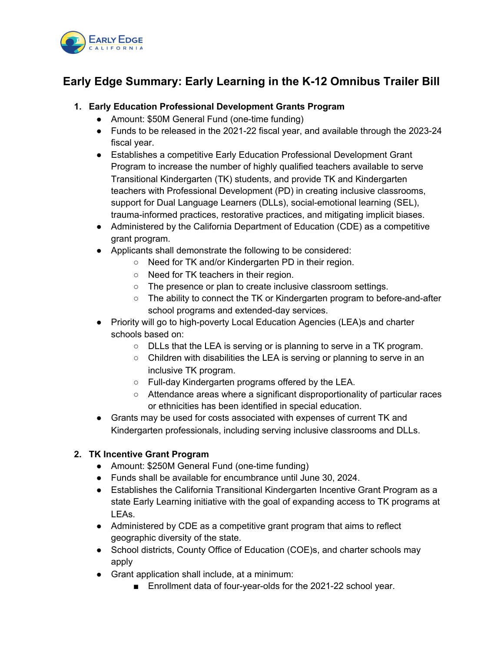

# **Early Edge Summary: Early Learning in the K-12 Omnibus Trailer Bill**

### **1. Early Education Professional Development Grants Program**

- Amount: \$50M General Fund (one-time funding)
- Funds to be released in the 2021-22 fiscal year, and available through the 2023-24 fiscal year.
- Establishes a competitive Early Education Professional Development Grant Program to increase the number of highly qualified teachers available to serve Transitional Kindergarten (TK) students, and provide TK and Kindergarten teachers with Professional Development (PD) in creating inclusive classrooms, support for Dual Language Learners (DLLs), social-emotional learning (SEL), trauma-informed practices, restorative practices, and mitigating implicit biases.
- Administered by the California Department of Education (CDE) as a competitive grant program.
- Applicants shall demonstrate the following to be considered:
	- Need for TK and/or Kindergarten PD in their region.
	- Need for TK teachers in their region.
	- The presence or plan to create inclusive classroom settings.
	- The ability to connect the TK or Kindergarten program to before-and-after school programs and extended-day services.
- Priority will go to high-poverty Local Education Agencies (LEA)s and charter schools based on:
	- DLLs that the LEA is serving or is planning to serve in a TK program.
	- Children with disabilities the LEA is serving or planning to serve in an inclusive TK program.
	- Full-day Kindergarten programs offered by the LEA.
	- Attendance areas where a significant disproportionality of particular races or ethnicities has been identified in special education.
- Grants may be used for costs associated with expenses of current TK and Kindergarten professionals, including serving inclusive classrooms and DLLs.

# **2. TK Incentive Grant Program**

- Amount: \$250M General Fund (one-time funding)
- Funds shall be available for encumbrance until June 30, 2024.
- Establishes the California Transitional Kindergarten Incentive Grant Program as a state Early Learning initiative with the goal of expanding access to TK programs at LEAs.
- Administered by CDE as a competitive grant program that aims to reflect geographic diversity of the state.
- School districts, County Office of Education (COE)s, and charter schools may apply
- Grant application shall include, at a minimum:
	- Enrollment data of four-year-olds for the 2021-22 school year.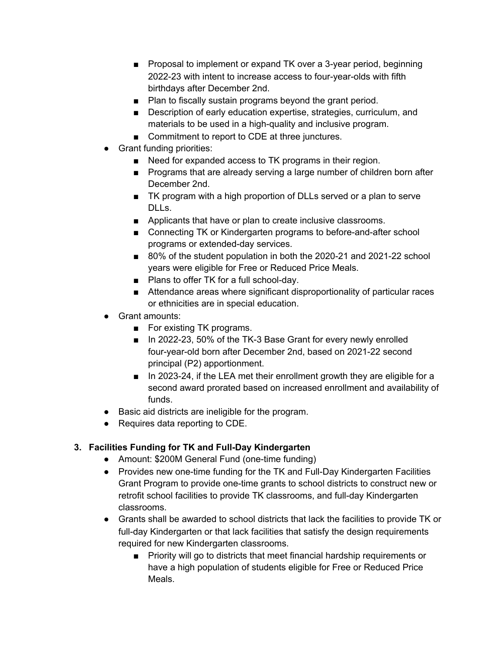- Proposal to implement or expand TK over a 3-year period, beginning 2022-23 with intent to increase access to four-year-olds with fifth birthdays after December 2nd.
- Plan to fiscally sustain programs beyond the grant period.
- Description of early education expertise, strategies, curriculum, and materials to be used in a high-quality and inclusive program.
- Commitment to report to CDE at three junctures.
- **Grant funding priorities:** 
	- Need for expanded access to TK programs in their region.
	- Programs that are already serving a large number of children born after December 2nd.
	- TK program with a high proportion of DLLs served or a plan to serve DLLs.
	- Applicants that have or plan to create inclusive classrooms.
	- Connecting TK or Kindergarten programs to before-and-after school programs or extended-day services.
	- 80% of the student population in both the 2020-21 and 2021-22 school years were eligible for Free or Reduced Price Meals.
	- Plans to offer TK for a full school-day.
	- Attendance areas where significant disproportionality of particular races or ethnicities are in special education.
- Grant amounts:
	- For existing TK programs.
	- In 2022-23, 50% of the TK-3 Base Grant for every newly enrolled four-year-old born after December 2nd, based on 2021-22 second principal (P2) apportionment.
	- In 2023-24, if the LEA met their enrollment growth they are eligible for a second award prorated based on increased enrollment and availability of funds.
- Basic aid districts are ineligible for the program.
- Requires data reporting to CDE.

#### **3. Facilities Funding for TK and Full-Day Kindergarten**

- Amount: \$200M General Fund (one-time funding)
- Provides new one-time funding for the TK and Full-Day Kindergarten Facilities Grant Program to provide one-time grants to school districts to construct new or retrofit school facilities to provide TK classrooms, and full-day Kindergarten classrooms.
- Grants shall be awarded to school districts that lack the facilities to provide TK or full-day Kindergarten or that lack facilities that satisfy the design requirements required for new Kindergarten classrooms.
	- Priority will go to districts that meet financial hardship requirements or have a high population of students eligible for Free or Reduced Price Meals.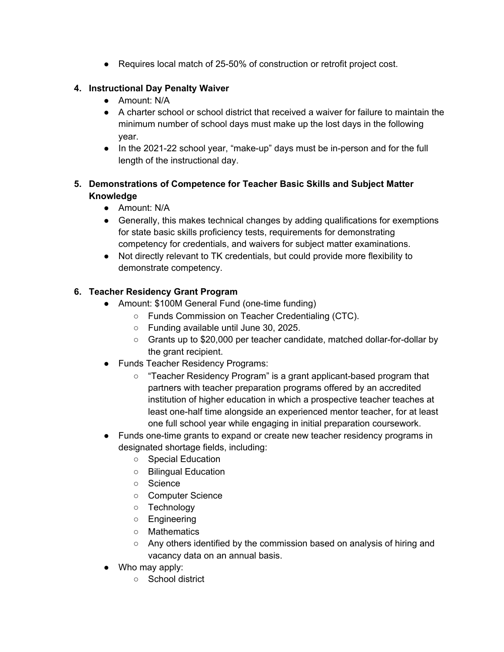● Requires local match of 25-50% of construction or retrofit project cost.

# **4. Instructional Day Penalty Waiver**

- Amount: N/A
- A charter school or school district that received a waiver for failure to maintain the minimum number of school days must make up the lost days in the following year.
- In the 2021-22 school year, "make-up" days must be in-person and for the full length of the instructional day.

# **5. Demonstrations of Competence for Teacher Basic Skills and Subject Matter Knowledge**

- Amount: N/A
- Generally, this makes technical changes by adding qualifications for exemptions for state basic skills proficiency tests, requirements for demonstrating competency for credentials, and waivers for subject matter examinations.
- Not directly relevant to TK credentials, but could provide more flexibility to demonstrate competency.

# **6. Teacher Residency Grant Program**

- Amount: \$100M General Fund (one-time funding)
	- Funds Commission on Teacher Credentialing (CTC).
	- Funding available until June 30, 2025.
	- Grants up to \$20,000 per teacher candidate, matched dollar-for-dollar by the grant recipient.
- Funds Teacher Residency Programs:
	- "Teacher Residency Program" is a grant applicant-based program that partners with teacher preparation programs offered by an accredited institution of higher education in which a prospective teacher teaches at least one-half time alongside an experienced mentor teacher, for at least one full school year while engaging in initial preparation coursework.
- Funds one-time grants to expand or create new teacher residency programs in designated shortage fields, including:
	- Special Education
	- Bilingual Education
	- Science
	- Computer Science
	- Technology
	- Engineering
	- Mathematics
	- Any others identified by the commission based on analysis of hiring and vacancy data on an annual basis.
- Who may apply:
	- School district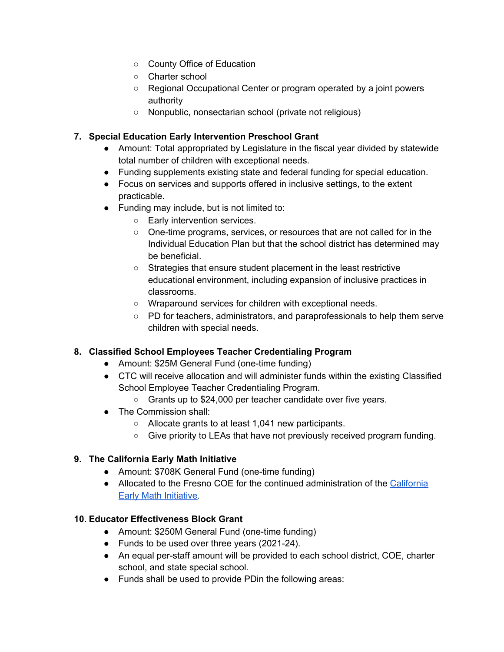- County Office of Education
- Charter school
- Regional Occupational Center or program operated by a joint powers authority
- Nonpublic, nonsectarian school (private not religious)

# **7. Special Education Early Intervention Preschool Grant**

- Amount: Total appropriated by Legislature in the fiscal year divided by statewide total number of children with exceptional needs.
- Funding supplements existing state and federal funding for special education.
- Focus on services and supports offered in inclusive settings, to the extent practicable.
- Funding may include, but is not limited to:
	- Early intervention services.
	- One-time programs, services, or resources that are not called for in the Individual Education Plan but that the school district has determined may be beneficial.
	- Strategies that ensure student placement in the least restrictive educational environment, including expansion of inclusive practices in classrooms.
	- Wraparound services for children with exceptional needs.
	- PD for teachers, administrators, and paraprofessionals to help them serve children with special needs.

#### **8. Classified School Employees Teacher Credentialing Program**

- Amount: \$25M General Fund (one-time funding)
- CTC will receive allocation and will administer funds within the existing Classified School Employee Teacher Credentialing Program.
	- Grants up to \$24,000 per teacher candidate over five years.
- The Commission shall:
	- Allocate grants to at least 1,041 new participants.
	- Give priority to LEAs that have not previously received program funding.

#### **9. The California Early Math Initiative**

- Amount: \$708K General Fund (one-time funding)
- Allocated to the Fresno COE for the continued administration of the [California](https://www.wested.org/project/early-math-initiative/) Early Math [Initiative.](https://www.wested.org/project/early-math-initiative/)

#### **10. Educator Effectiveness Block Grant**

- Amount: \$250M General Fund (one-time funding)
- Funds to be used over three years (2021-24).
- An equal per-staff amount will be provided to each school district, COE, charter school, and state special school.
- Funds shall be used to provide PDin the following areas: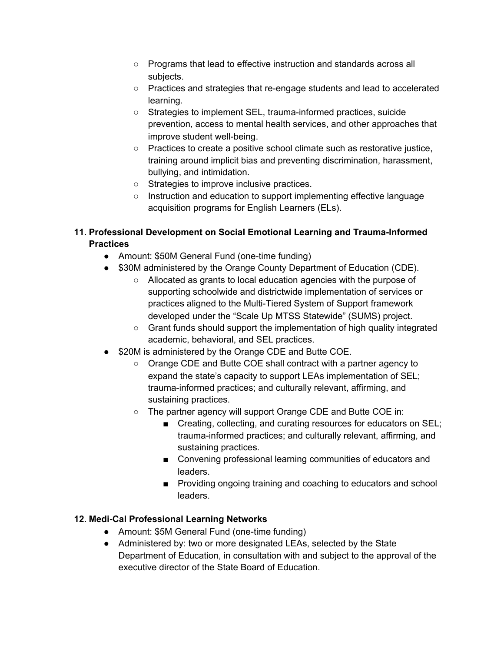- Programs that lead to effective instruction and standards across all subjects.
- Practices and strategies that re-engage students and lead to accelerated learning.
- Strategies to implement SEL, trauma-informed practices, suicide prevention, access to mental health services, and other approaches that improve student well-being.
- Practices to create a positive school climate such as restorative justice, training around implicit bias and preventing discrimination, harassment, bullying, and intimidation.
- Strategies to improve inclusive practices.
- Instruction and education to support implementing effective language acquisition programs for English Learners (ELs).

# **11. Professional Development on Social Emotional Learning and Trauma-Informed Practices**

- Amount: \$50M General Fund (one-time funding)
- \$30M administered by the Orange County Department of Education (CDE).
	- Allocated as grants to local education agencies with the purpose of supporting schoolwide and districtwide implementation of services or practices aligned to the Multi-Tiered System of Support framework developed under the "Scale Up MTSS Statewide" (SUMS) project.
	- Grant funds should support the implementation of high quality integrated academic, behavioral, and SEL practices.
- \$20M is administered by the Orange CDE and Butte COE.
	- Orange CDE and Butte COE shall contract with a partner agency to expand the state's capacity to support LEAs implementation of SEL; trauma-informed practices; and culturally relevant, affirming, and sustaining practices.
	- The partner agency will support Orange CDE and Butte COE in:
		- Creating, collecting, and curating resources for educators on SEL; trauma-informed practices; and culturally relevant, affirming, and sustaining practices.
		- Convening professional learning communities of educators and leaders.
		- Providing ongoing training and coaching to educators and school leaders.

# **12. Medi-Cal Professional Learning Networks**

- Amount: \$5M General Fund (one-time funding)
- Administered by: two or more designated LEAs, selected by the State Department of Education, in consultation with and subject to the approval of the executive director of the State Board of Education.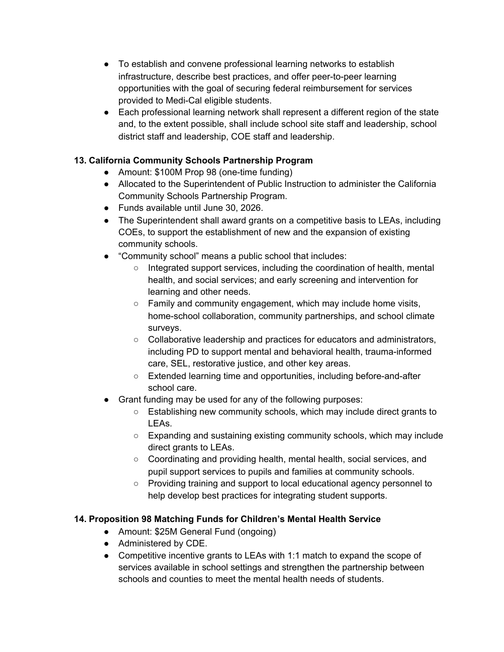- To establish and convene professional learning networks to establish infrastructure, describe best practices, and offer peer-to-peer learning opportunities with the goal of securing federal reimbursement for services provided to Medi-Cal eligible students.
- Each professional learning network shall represent a different region of the state and, to the extent possible, shall include school site staff and leadership, school district staff and leadership, COE staff and leadership.

# **13. California Community Schools Partnership Program**

- Amount: \$100M Prop 98 (one-time funding)
- Allocated to the Superintendent of Public Instruction to administer the California Community Schools Partnership Program.
- Funds available until June 30, 2026.
- The Superintendent shall award grants on a competitive basis to LEAs, including COEs, to support the establishment of new and the expansion of existing community schools.
- "Community school" means a public school that includes:
	- Integrated support services, including the coordination of health, mental health, and social services; and early screening and intervention for learning and other needs.
	- $\circ$  Family and community engagement, which may include home visits, home-school collaboration, community partnerships, and school climate surveys.
	- Collaborative leadership and practices for educators and administrators, including PD to support mental and behavioral health, trauma-informed care, SEL, restorative justice, and other key areas.
	- Extended learning time and opportunities, including before-and-after school care.
- Grant funding may be used for any of the following purposes:
	- Establishing new community schools, which may include direct grants to LEAs.
	- Expanding and sustaining existing community schools, which may include direct grants to LEAs.
	- Coordinating and providing health, mental health, social services, and pupil support services to pupils and families at community schools.
	- Providing training and support to local educational agency personnel to help develop best practices for integrating student supports.

# **14. Proposition 98 Matching Funds for Children's Mental Health Service**

- Amount: \$25M General Fund (ongoing)
- Administered by CDE.
- Competitive incentive grants to LEAs with 1:1 match to expand the scope of services available in school settings and strengthen the partnership between schools and counties to meet the mental health needs of students.